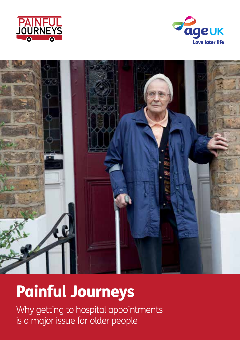





## Painful Journeys

Why getting to hospital appointments is a major issue for older people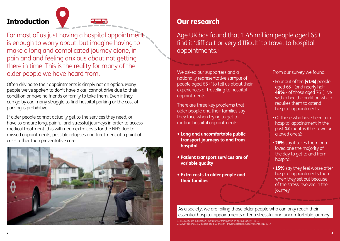Introduction



For most of us just having a hospital appointment is enough to worry about, but imagine having to make a long and complicated journey alone, in pain and and feeling anxious about not getting there in time. This is the reality for many of the older people we have heard from.

Often driving to their appointments is simply not an option. Many people we've spoken to don't have a car, cannot drive due to their condition or have no friends or family to take them. Even if they can go by car, many struggle to find hospital parking or the cost of parking is prohibitive.

If older people cannot actually get to the services they need, or have to endure long, painful and stressful journeys in order to access medical treatment, this will mean extra costs for the NHS due to missed appointments, possible relapses and treatment at a point of crisis rather than preventative care.



### Our research

Age UK has found that 1.45 million people aged 65+ find it 'difficult or very difficult' to travel to hospital appointments.1

We asked our supporters and a nationally representative sample of people aged 65+2 to tell us about their experiences of travelling to hospital appointments.

There are three key problems that older people and their families say they face when trying to get to routine hospital appointments:

- **Long and uncomfortable public transport journeys to and from hospital**
- **Patient transport services are of variable quality**
- **Extra costs to older people and their families**

From our survey we found:

- Four out of ten (41%) people aged 65+ (and nearly half - 48% - of those aged 76+) live with a health condition which requires them to attend hospital appointments.
- Of those who have been to a hospital appointment in the past 12 months (their own or a loved one's):
- 26% say it takes them or a loved one the majority of the day to get to and from hospital.
- 15% say they feel worse after hospital appointments than when they set out because of the stress involved in the journey.

As a society, we are failing those older people who can only reach their essential hospital appointments after a stressful and uncomfortable journey.

1. ILCUK/Age UK publication: The future of transport in an ageing society - 2015 2. Survey among 1342 people aged 65 or over - Travel to Hospital Appointments, TNS 2017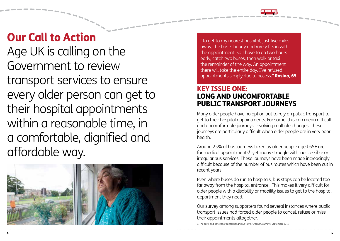## Our Call to Action

Age UK is calling on the Government to review transport services to ensure every older person can get to their hospital appointments within a reasonable time, in a comfortable, dignified and affordable way.



"To get to my nearest hospital, just five miles away, the bus is hourly and rarely fits in with the appointment. So I have to go two hours early, catch two buses, then walk or taxi the remainder of the way. An appointment there will take the entire day. I've refused appointments simply due to access." **Rosina, 65** 

#### KEY ISSUE ONE: LONG AND UNCOMFORTABLE PUBLIC TRANSPORT JOURNEYS

Many older people have no option but to rely on public transport to get to their hospital appointments. For some, this can mean difficult and uncomfortable journeys, involving multiple changes. These journeys are particularly difficult when older people are in very poor health.

Around 25% of bus journeys taken by older people aged 65+ are for medical appointments<sup>3</sup> yet many struggle with inaccessible or irregular bus services. These journeys have been made increasingly difficult because of the number of bus routes which have been cut in recent years.

Even where buses do run to hospitals, bus stops can be located too far away from the hospital entrance. This makes it very difficult for older people with a disability or mobility issues to get to the hospital department they need.

Our survey among supporters found several instances where public transport issues had forced older people to cancel, refuse or miss their appointments altogether.

3. The costs and benefits of concessionary bus travel, Greener Journeys, September 2014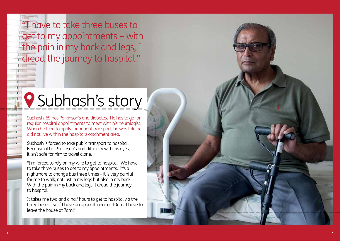"I have to take three buses to get to my appointments – with the pain in my back and legs, I dread the journey to hospital."

## **P** Subhash's story

Subhash, 69 has Parkinson's and diabetes. He has to go for regular hospital appointments to meet with his neurologist. When he tried to apply for patient transport, he was told he did not live within the hospital's catchment area.

Subhash is forced to take public transport to hospital. Because of his Parkinson's and difficulty with his eyes, it isn't safe for him to travel alone.

"I'm forced to rely on my wife to get to hospital. We have to take three buses to get to my appointments. It's a nightmare to change bus three times – it is very painful for me to walk, not just in my legs but also in my back. With the pain in my back and legs, I dread the journey to hospital.

It takes me two and a half hours to get to hospital via the three buses. So if I have an appointment at 10am, I have to leave the house at 7am."

7

6

and C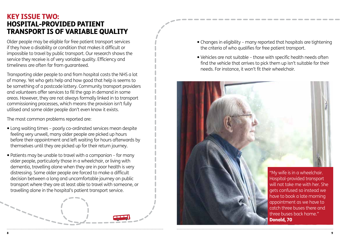#### KEY ISSUE TWO: HOSPITAL-PROVIDED PATIENT TRANSPORT IS OF VARIABLE QUALITY

Older people may be eligible for free patient transport services if they have a disability or condition that makes it difficult or impossible to travel by public transport. Our research shows the service they receive is of very variable quality. Efficiency and timeliness are often far from guaranteed.

Transporting older people to and from hospital costs the NHS a lot of money. Yet who gets help and how good that help is seems to be something of a postcode lottery. Community transport providers and volunteers offer services to fill the gap in demand in some areas. However, they are not always formally linked in to transport commissioning processes, which means the provision isn't fully utilised and some older people don't even know it exists.

The most common problems reported are:

- Long waiting times poorly co-ordinated services mean despite feeling very unwell, many older people are picked up hours before their appointment and left waiting for hours afterwards by themselves until they are picked up for their return journey.
- Patients may be unable to travel with a companion for many older people, particularly those in a wheelchair, or living with dementia, travelling alone when they are in poor health is very distressing. Some older people are forced to make a difficult decision between a long and uncomfortable journey on public transport where they are at least able to travel with someone, or travelling alone in the hospital's patient transport service.
- Changes in eligibility many reported that hospitals are tightening the criteria of who qualifies for free patient transport.
- Vehicles are not suitable those with specific health needs often find the vehicle that arrives to pick them up isn't suitable for their needs. For instance, it won't fit their wheelchair.

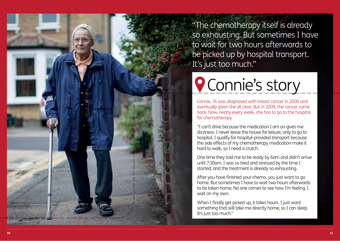"The chemotherapy itself is already so exhausting. But sometimes I have to wait for two hours afterwards to be picked up by hospital transport. It's just too much."

# **Q** Connie's story

Connie, 74 was diagnosed with breast cancer in 2000 and eventually given the all clear. But in 2009, the cancer came back. Now, nearly every week, she has to go to the hospital for chemotherapy.

"I can't drive because the medication I am on gives me dizziness. I never leave the house for leisure, only to go to hospital. I qualify for hospital-provided transport because the side effects of my chemotherapy medication make it hard to walk, so I need a crutch.

One time they told me to be ready by 6am and didn't arrive until 7:30am. I was so tired and stressed by the time I started, and the treatment is already so exhausting.

After you have finished your chemo, you just want to go home. But sometimes I have to wait two hours afterwards to be taken home. No one comes to see how I'm feeling. I wait on my own.

When I finally get picked up, it takes hours. I just want something that will take me directly home, so I can sleep. It's just too much."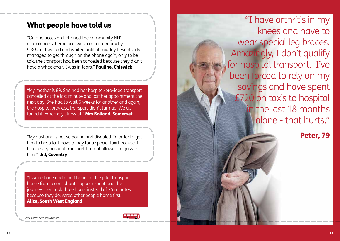### What people have told us

"On one occasion I phoned the community NHS ambulance scheme and was told to be ready by 9:30am. I waited and waited until at midday I eventually managed to get through on the phone again, only to be told the transport had been cancelled because they didn't have a wheelchair. I was in tears." Pauline, Chiswick

"My mother is 89. She had her hospital-provided transport cancelled at the last minute and lost her appointment the next day. She had to wait 6 weeks for another and again, the hospital provided transport didn't turn up. We all found it extremely stressful." Mrs Bolland, Somerset

"My husband is house bound and disabled. In order to get him to hospital I have to pay for a special taxi because if he goes by hospital transport I'm not allowed to go with him." Jill, Coventry

"I waited one and a half hours for hospital transport home from a consultant's appointment and the journey then took three hours instead of 25 minutes because they delivered other people home first." Alice, South West England

Some names have been char



"I have arthritis in my knees and have to wear special leg braces. Amazingly, I don't qualify for hospital transport. I've been forced to rely on my savings and have spent £720 on taxis to hospital in the last 18 months alone - that hurts."

Peter, 79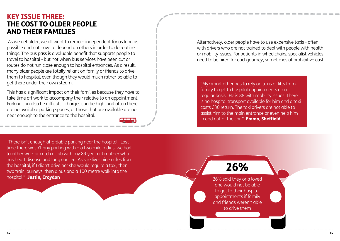#### KEY ISSUE THREE: THE COST TO OLDER PEOPLE AND THEIR FAMILIES

 As we get older, we all want to remain independent for as long as possible and not have to depend on others in order to do routine things. The bus pass is a valuable benefit that supports people to travel to hospital - but not when bus services have been cut or routes do not run close enough to hospital entrances. As a result, many older people are totally reliant on family or friends to drive them to hospital, even though they would much rather be able to get there under their own steam.

This has a significant impact on their families because they have to take time off work to accompany their relative to an appointment. Parking can also be difficult - charges can be high, and often there are no available parking spaces, or those that are available are not near enough to the entrance to the hospital.



Alternatively, older people have to use expensive taxis - often with drivers who are not trained to deal with people with health or mobility issues. For patients in wheelchairs, specialist vehicles need to be hired for each journey, sometimes at prohibitive cost.

"My Grandfather has to rely on taxis or lifts from family to get to hospital appointments on a regular basis. He is 88 with mobility issues. There is no hospital transport available for him and a taxi costs £30 return. The taxi drivers are not able to assist him to the main entrance or even help him in and out of the car." **Emma, Sheffield.** 

"There isn't enough affordable parking near the hospital. Last time there wasn't any parking within a two mile radius, we had to either walk or catch a cab with my 89 year old mother who has heart disease and lung cancer. As she lives nine miles from the hospital, if I didn't drive her she would require a taxi, then two train journeys, then a bus and a 100 metre walk into the hospital." Justin, Croydon



26% said they or a loved one would not be able to get to their hospital appointments if family and friends weren't able to drive them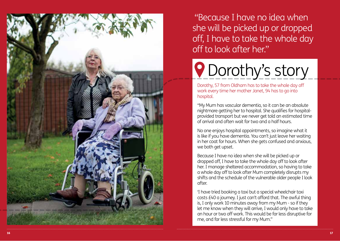

 "Because I have no idea when she will be picked up or dropped off, I have to take the whole day off to look after her."

# **P** Dorothy's story

Dorothy, 57 from Oldham has to take the whole day off work every time her mother Janet, 94 has to go into hospital.

"My Mum has vascular dementia, so it can be an absolute nightmare getting her to hospital. She qualifies for hospitalprovided transport but we never get told an estimated time of arrival and often wait for two and a half hours.

No one enjoys hospital appointments, so imagine what it is like if you have dementia. You can't just leave her waiting in her coat for hours. When she gets confused and anxious, we both get upset.

Because I have no idea when she will be picked up or dropped off, I have to take the whole day off to look after her. I manage sheltered accommodation, so having to take a whole day off to look after Mum completely disrupts my shifts and the schedule of the vulnerable older people I look after.

'I have tried booking a taxi but a special wheelchair taxi costs £40 a journey. I just can't afford that. The awful thing is, I only work 10 minutes away from my Mum - so if they let me know when they will arrive, I would only have to take an hour or two off work. This would be far less disruptive for me, and far less stressful for my Mum."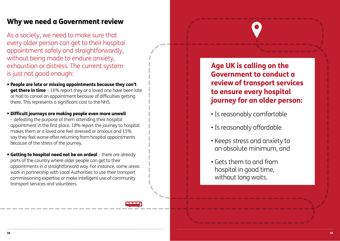### Why we need a Government review

As a society, we need to make sure that every older person can get to their hospital appointment safely and straightforwardly, without being made to endure anxiety, exhaustion or distress. The current system is just not good enough:

- People are late or missing appointments because they can't get there in time - 16% report they or a loved one have been late or had to cancel an appointment because of difficulties getting there. This represents a significant cost to the NHS.
- Difficult journeys are making people even more unwell – defeating the purpose of them attending their hospital appointment in the first place. 18% report the journey to hospital makes them or a loved one feel stressed or anxious and 15% say they feel worse after returning from hospital appointments because of the stress of the journey.
- Getting to hospital need not be an ordeal there are already parts of the country where older people can get to their appointments in a straightforward way. For instance, some areas work in partnership with Local Authorities to use their transport commissioning expertise or make intelligent use of community transport services and volunteers.



Age UK is calling on the Government to conduct a review of transport services to ensure every hospital journey for an older person:

- Is reasonably comfortable
- Is reasonably affordable
- Keeps stress and anxiety to an absolute minimum, and
- Gets them to and from hospital in good time, without long waits.